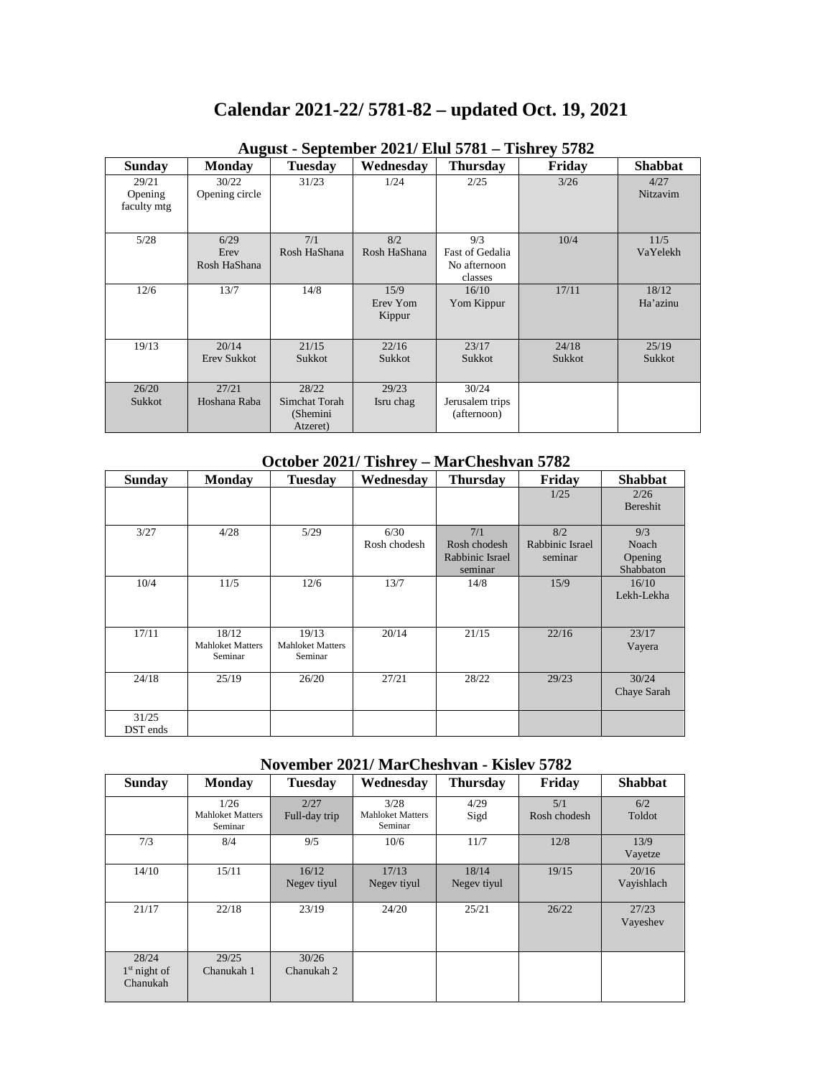# **Calendar 2021-22/ 5781-82 – updated Oct. 19, 2021**

| <b>Sunday</b>                   | <b>Monday</b>                | <b>Tuesday</b>                                 | Wednesday                  | <b>Thursday</b>                                   | Friday          | <b>Shabbat</b>    |
|---------------------------------|------------------------------|------------------------------------------------|----------------------------|---------------------------------------------------|-----------------|-------------------|
| 29/21<br>Opening<br>faculty mtg | 30/22<br>Opening circle      | 31/23                                          | 1/24                       | 2/25                                              | 3/26            | 4/27<br>Nitzavim  |
| 5/28                            | 6/29<br>Erev<br>Rosh HaShana | 7/1<br>Rosh HaShana                            | 8/2<br>Rosh HaShana        | 9/3<br>Fast of Gedalia<br>No afternoon<br>classes | 10/4            | 11/5<br>VaYelekh  |
| 12/6                            | 13/7                         | 14/8                                           | 15/9<br>Erev Yom<br>Kippur | 16/10<br>Yom Kippur                               | 17/11           | 18/12<br>Ha'azinu |
| 19/13                           | 20/14<br>Erev Sukkot         | 21/15<br>Sukkot                                | 22/16<br>Sukkot            | 23/17<br>Sukkot                                   | 24/18<br>Sukkot | 25/19<br>Sukkot   |
| 26/20<br>Sukkot                 | 27/21<br>Hoshana Raba        | 28/22<br>Simchat Torah<br>(Shemini<br>Atzeret) | 29/23<br>Isru chag         | 30/24<br>Jerusalem trips<br>(afternoon)           |                 |                   |

#### **August - September 2021/ Elul 5781 – Tishrey 5782**

#### **October 2021/ Tishrey – MarCheshvan 5782**

| <b>Sunday</b> | <b>Monday</b>           | <b>Tuesday</b>          | Wednesday    | <b>Thursday</b> | Friday          | <b>Shabbat</b> |
|---------------|-------------------------|-------------------------|--------------|-----------------|-----------------|----------------|
|               |                         |                         |              |                 | 1/25            | 2/26           |
|               |                         |                         |              |                 |                 | Bereshit       |
| 3/27          | 4/28                    | 5/29                    | 6/30         | 7/1             | 8/2             | 9/3            |
|               |                         |                         | Rosh chodesh | Rosh chodesh    | Rabbinic Israel | Noach          |
|               |                         |                         |              | Rabbinic Israel | seminar         | Opening        |
|               |                         |                         |              | seminar         |                 | Shabbaton      |
| 10/4          | 11/5                    | 12/6                    | 13/7         | 14/8            | 15/9            | 16/10          |
|               |                         |                         |              |                 |                 | Lekh-Lekha     |
|               |                         |                         |              |                 |                 |                |
| 17/11         | 18/12                   | 19/13                   | 20/14        | 21/15           | 22/16           | 23/17          |
|               | <b>Mahloket Matters</b> | <b>Mahloket Matters</b> |              |                 |                 | Vayera         |
|               | Seminar                 | Seminar                 |              |                 |                 |                |
| 24/18         | 25/19                   | 26/20                   | 27/21        | 28/22           | 29/23           | 30/24          |
|               |                         |                         |              |                 |                 | Chaye Sarah    |
|               |                         |                         |              |                 |                 |                |
| 31/25         |                         |                         |              |                 |                 |                |
| DST ends      |                         |                         |              |                 |                 |                |

#### **November 2021/ MarCheshvan - Kislev 5782**

| <b>Sunday</b>                       | <b>Monday</b>                              | <b>Tuesday</b>        | Wednesday                                  | <b>Thursday</b>      | Friday              | <b>Shabbat</b>      |
|-------------------------------------|--------------------------------------------|-----------------------|--------------------------------------------|----------------------|---------------------|---------------------|
|                                     | 1/26<br><b>Mahloket Matters</b><br>Seminar | 2/27<br>Full-day trip | 3/28<br><b>Mahloket Matters</b><br>Seminar | 4/29<br>Sigd         | 5/1<br>Rosh chodesh | 6/2<br>Toldot       |
| 7/3                                 | 8/4                                        | 9/5                   | 10/6                                       | 11/7                 | 12/8                | 13/9<br>Vayetze     |
| 14/10                               | 15/11                                      | 16/12<br>Negev tiyul  | 17/13<br>Negev tiyul                       | 18/14<br>Negev tiyul | 19/15               | 20/16<br>Vayishlach |
| 21/17                               | 22/18                                      | 23/19                 | 24/20                                      | 25/21                | 26/22               | 27/23<br>Vayeshev   |
| 28/24<br>$1st$ night of<br>Chanukah | 29/25<br>Chanukah 1                        | 30/26<br>Chanukah 2   |                                            |                      |                     |                     |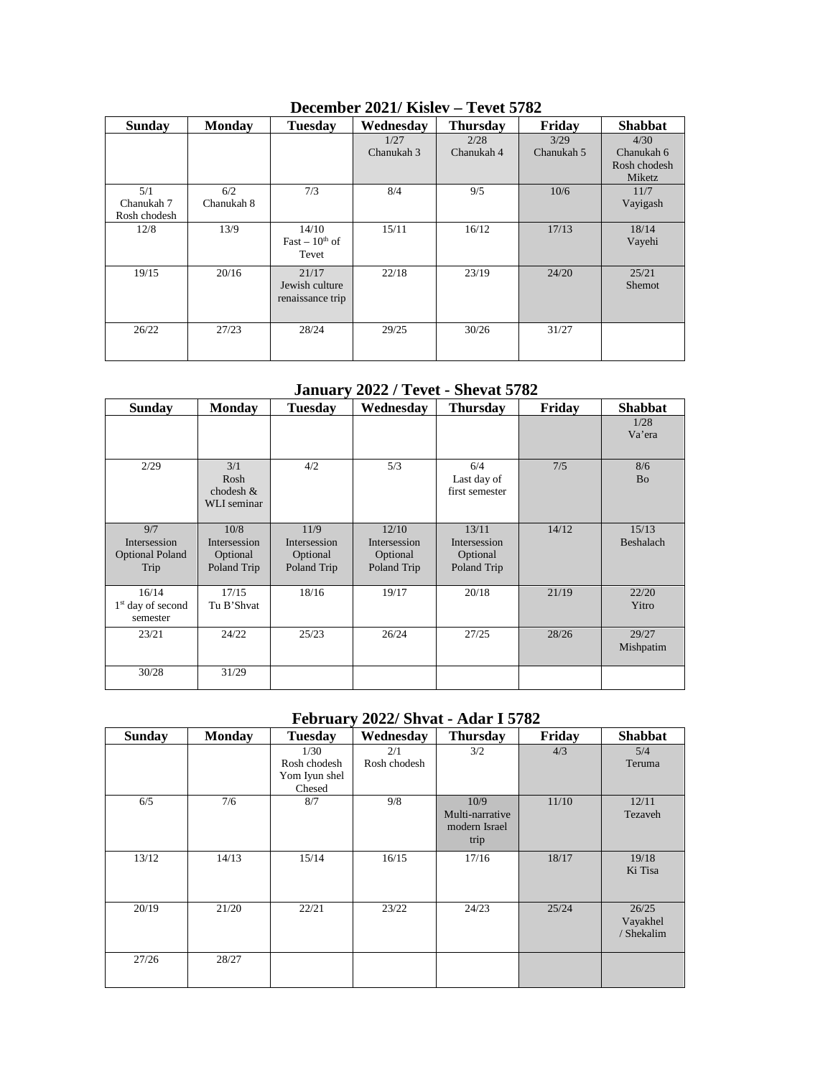| <b>Sunday</b>                     | <b>Monday</b>     | <b>Tuesday</b>                              | Wednesday          | <b>Thursday</b>    | Friday             | <b>Shabbat</b>                               |
|-----------------------------------|-------------------|---------------------------------------------|--------------------|--------------------|--------------------|----------------------------------------------|
|                                   |                   |                                             | 1/27<br>Chanukah 3 | 2/28<br>Chanukah 4 | 3/29<br>Chanukah 5 | 4/30<br>Chanukah 6<br>Rosh chodesh<br>Miketz |
| 5/1<br>Chanukah 7<br>Rosh chodesh | 6/2<br>Chanukah 8 | 7/3                                         | 8/4                | 9/5                | 10/6               | 11/7<br>Vayigash                             |
| 12/8                              | 13/9              | 14/10<br>Fast $-10^{th}$ of<br>Tevet        | 15/11              | 16/12              | 17/13              | 18/14<br>Vayehi                              |
| 19/15                             | 20/16             | 21/17<br>Jewish culture<br>renaissance trip | 22/18              | 23/19              | 24/20              | 25/21<br><b>Shemot</b>                       |
| 26/22                             | 27/23             | 28/24                                       | 29/25              | 30/26              | 31/27              |                                              |

# **December 2021/ Kislev – Tevet 5782**

**January 2022 / Tevet - Shevat 5782**

| <b>Sunday</b>                                         | <b>Monday</b>                                   | <b>Tuesday</b>                                  | Wednesday                                               | <b>Thursday</b>                                  | Friday | <b>Shabbat</b>     |
|-------------------------------------------------------|-------------------------------------------------|-------------------------------------------------|---------------------------------------------------------|--------------------------------------------------|--------|--------------------|
|                                                       |                                                 |                                                 |                                                         |                                                  |        | 1/28<br>Va'era     |
| 2/29                                                  | 3/1<br>Rosh<br>chodesh &<br>WLI seminar         | 4/2                                             | 5/3                                                     | 6/4<br>Last day of<br>first semester             | 7/5    | 8/6<br><b>Bo</b>   |
| 9/7<br>Intersession<br><b>Optional Poland</b><br>Trip | 10/8<br>Intersession<br>Optional<br>Poland Trip | 11/9<br>Intersession<br>Optional<br>Poland Trip | 12/10<br><b>Intersession</b><br>Optional<br>Poland Trip | 13/11<br>Intersession<br>Optional<br>Poland Trip | 14/12  | 15/13<br>Beshalach |
| 16/14<br>$1st$ day of second<br>semester              | 17/15<br>Tu B'Shvat                             | 18/16                                           | 19/17                                                   | 20/18                                            | 21/19  | 22/20<br>Yitro     |
| 23/21                                                 | 24/22                                           | 25/23                                           | 26/24                                                   | 27/25                                            | 28/26  | 29/27<br>Mishpatim |
| 30/28                                                 | 31/29                                           |                                                 |                                                         |                                                  |        |                    |

### **February 2022/ Shvat - Adar I 5782**

| <b>Sunday</b> | <b>Monday</b> | <b>Tuesday</b>                                  | Wednesday           | <b>Thursday</b>                                  | Friday | <b>Shabbat</b>                  |
|---------------|---------------|-------------------------------------------------|---------------------|--------------------------------------------------|--------|---------------------------------|
|               |               | 1/30<br>Rosh chodesh<br>Yom Iyun shel<br>Chesed | 2/1<br>Rosh chodesh | 3/2                                              | 4/3    | 5/4<br>Teruma                   |
| 6/5           | 7/6           | 8/7                                             | 9/8                 | 10/9<br>Multi-narrative<br>modern Israel<br>trip | 11/10  | 12/11<br>Tezaveh                |
| 13/12         | 14/13         | 15/14                                           | 16/15               | 17/16                                            | 18/17  | 19/18<br>Ki Tisa                |
| 20/19         | 21/20         | 22/21                                           | 23/22               | 24/23                                            | 25/24  | 26/25<br>Vayakhel<br>/ Shekalim |
| 27/26         | 28/27         |                                                 |                     |                                                  |        |                                 |